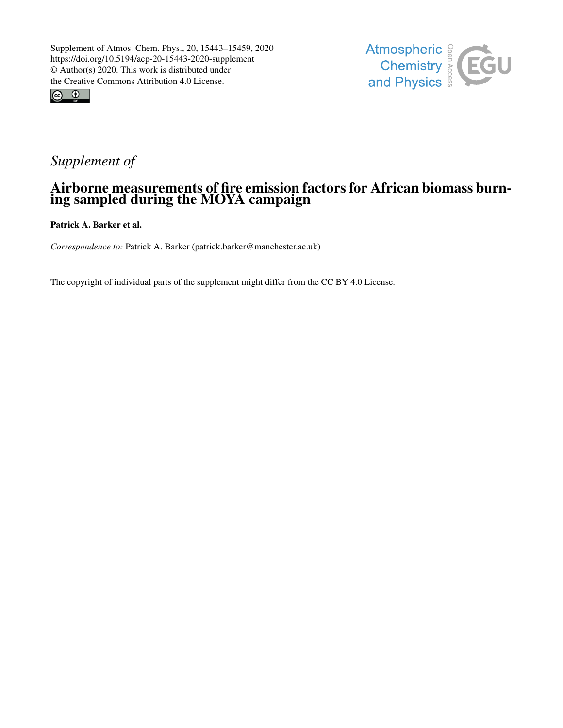



## *Supplement of*

## Airborne measurements of fire emission factors for African biomass burning sampled during the MOYA campaign

Patrick A. Barker et al.

*Correspondence to:* Patrick A. Barker (patrick.barker@manchester.ac.uk)

The copyright of individual parts of the supplement might differ from the CC BY 4.0 License.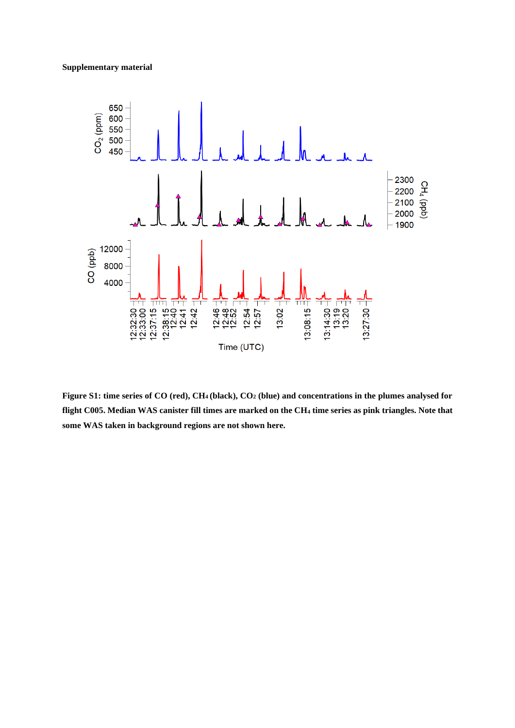## **Supplementary material**



**Figure S1: time series of CO (red), CH<sup>4</sup> (black), CO<sup>2</sup> (blue) and concentrations in the plumes analysed for flight C005. Median WAS canister fill times are marked on the CH<sup>4</sup> time series as pink triangles. Note that some WAS taken in background regions are not shown here.**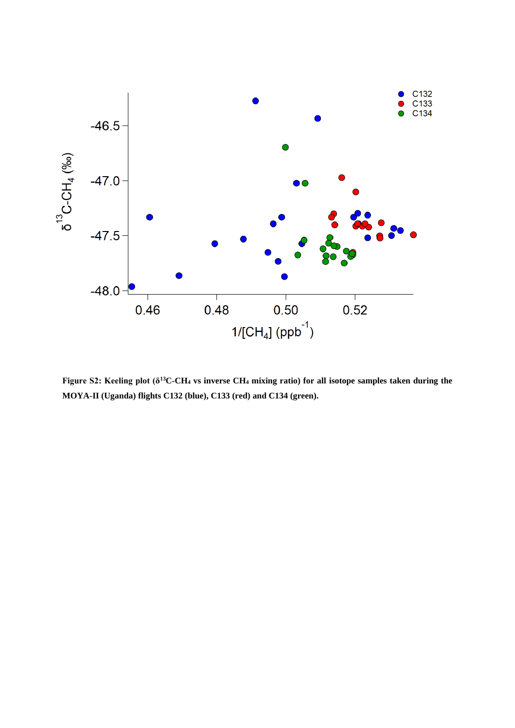

**Figure S2: Keeling plot (δ<sup>13</sup>C-CH<sup>4</sup> vs inverse CH<sup>4</sup> mixing ratio) for all isotope samples taken during the MOYA-II (Uganda) flights C132 (blue), C133 (red) and C134 (green).**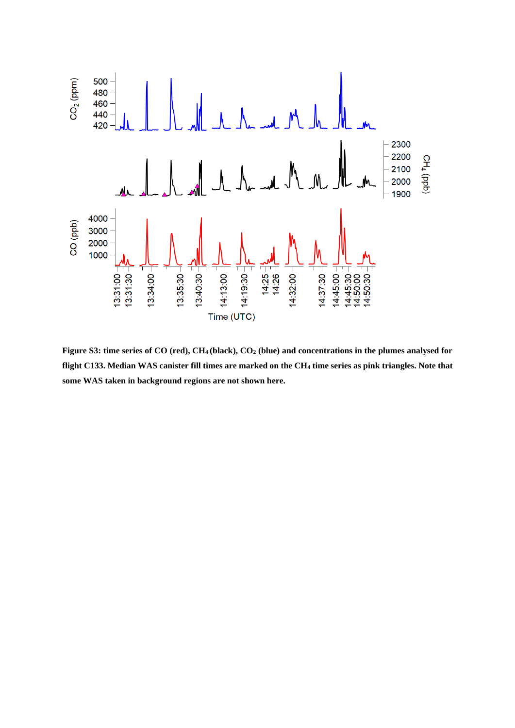

**Figure S3: time series of CO (red), CH<sup>4</sup> (black), CO<sup>2</sup> (blue) and concentrations in the plumes analysed for flight C133. Median WAS canister fill times are marked on the CH<sup>4</sup> time series as pink triangles. Note that some WAS taken in background regions are not shown here.**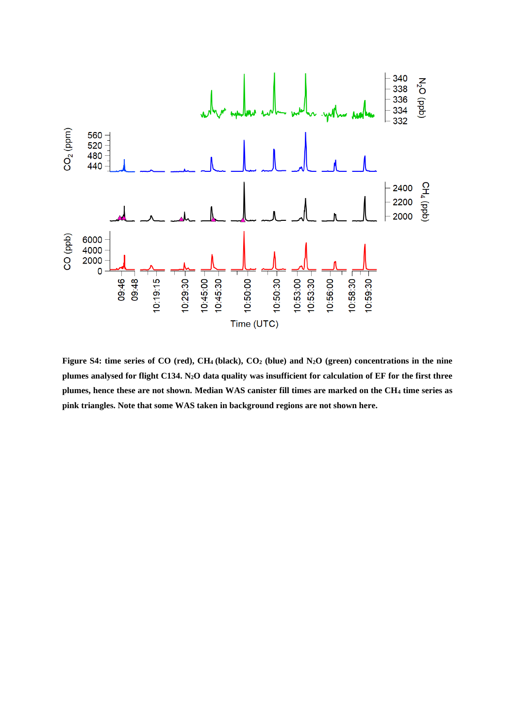

**Figure S4: time series of CO (red), CH<sup>4</sup> (black), CO<sup>2</sup> (blue) and N2O (green) concentrations in the nine plumes analysed for flight C134. N2O data quality was insufficient for calculation of EF for the first three plumes, hence these are not shown. Median WAS canister fill times are marked on the CH<sup>4</sup> time series as pink triangles. Note that some WAS taken in background regions are not shown here.**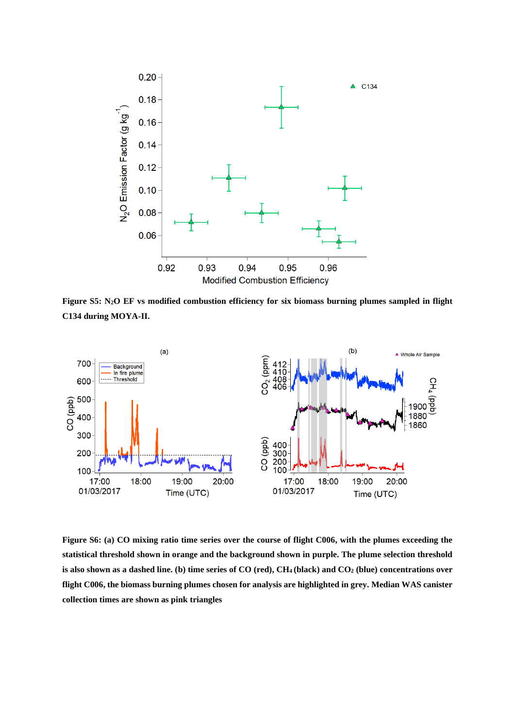

**Figure S5: N2O EF vs modified combustion efficiency for six biomass burning plumes sampled in flight C134 during MOYA-II.** 



**Figure S6: (a) CO mixing ratio time series over the course of flight C006, with the plumes exceeding the statistical threshold shown in orange and the background shown in purple. The plume selection threshold is also shown as a dashed line. (b) time series of CO (red), CH<sup>4</sup> (black) and CO<sup>2</sup> (blue) concentrations over flight C006, the biomass burning plumes chosen for analysis are highlighted in grey. Median WAS canister collection times are shown as pink triangles**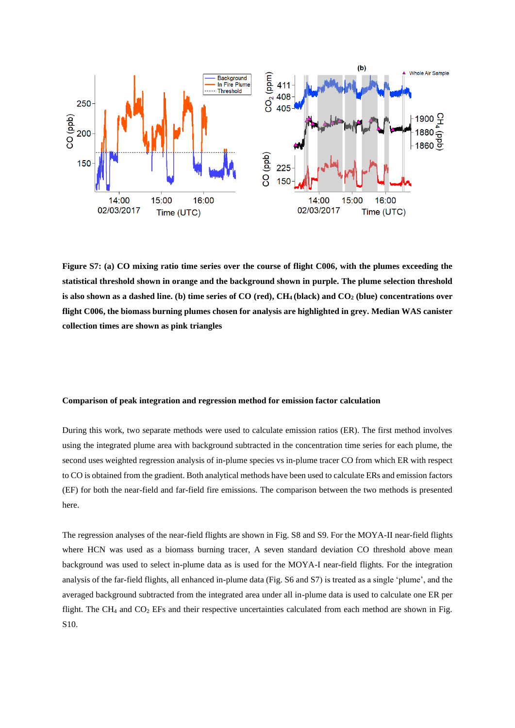

**Figure S7: (a) CO mixing ratio time series over the course of flight C006, with the plumes exceeding the statistical threshold shown in orange and the background shown in purple. The plume selection threshold is also shown as a dashed line. (b) time series of CO (red), CH<sup>4</sup> (black) and CO<sup>2</sup> (blue) concentrations over flight C006, the biomass burning plumes chosen for analysis are highlighted in grey. Median WAS canister collection times are shown as pink triangles**

## **Comparison of peak integration and regression method for emission factor calculation**

During this work, two separate methods were used to calculate emission ratios (ER). The first method involves using the integrated plume area with background subtracted in the concentration time series for each plume, the second uses weighted regression analysis of in-plume species vs in-plume tracer CO from which ER with respect to CO is obtained from the gradient. Both analytical methods have been used to calculate ERs and emission factors (EF) for both the near-field and far-field fire emissions. The comparison between the two methods is presented here.

The regression analyses of the near-field flights are shown in Fig. S8 and S9. For the MOYA-II near-field flights where HCN was used as a biomass burning tracer, A seven standard deviation CO threshold above mean background was used to select in-plume data as is used for the MOYA-I near-field flights. For the integration analysis of the far-field flights, all enhanced in-plume data (Fig. S6 and S7) is treated as a single 'plume', and the averaged background subtracted from the integrated area under all in-plume data is used to calculate one ER per flight. The CH<sub>4</sub> and CO<sub>2</sub> EFs and their respective uncertainties calculated from each method are shown in Fig. S10.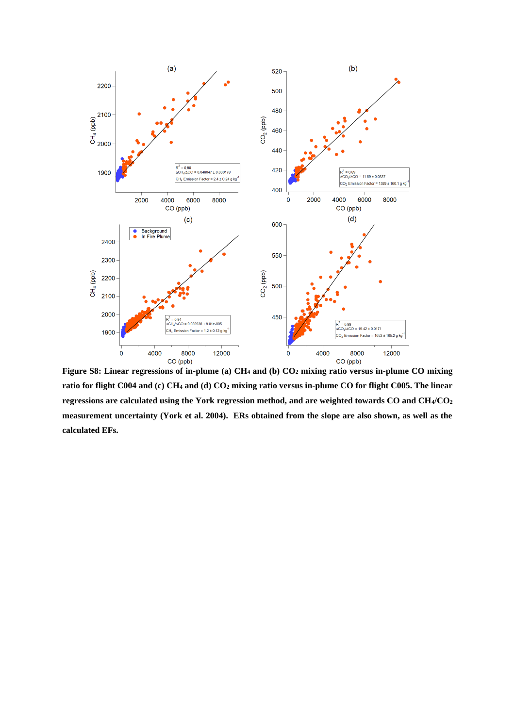

**Figure S8: Linear regressions of in-plume (a) CH<sup>4</sup> and (b) CO<sup>2</sup> mixing ratio versus in-plume CO mixing ratio for flight C004 and (c) CH<sup>4</sup> and (d) CO<sup>2</sup> mixing ratio versus in-plume CO for flight C005. The linear regressions are calculated using the York regression method, and are weighted towards CO and CH4/CO<sup>2</sup> measurement uncertainty (York et al. 2004). ERs obtained from the slope are also shown, as well as the calculated EFs.**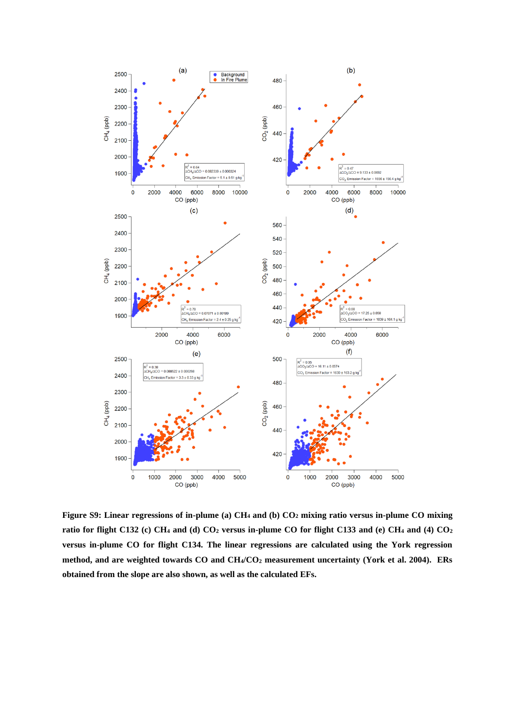

**Figure S9: Linear regressions of in-plume (a) CH<sup>4</sup> and (b) CO<sup>2</sup> mixing ratio versus in-plume CO mixing ratio for flight C132 (c) CH<sup>4</sup> and (d) CO<sup>2</sup> versus in-plume CO for flight C133 and (e) CH<sup>4</sup> and (4) CO<sup>2</sup> versus in-plume CO for flight C134. The linear regressions are calculated using the York regression method, and are weighted towards CO and CH4/CO<sup>2</sup> measurement uncertainty (York et al. 2004). ERs obtained from the slope are also shown, as well as the calculated EFs.**